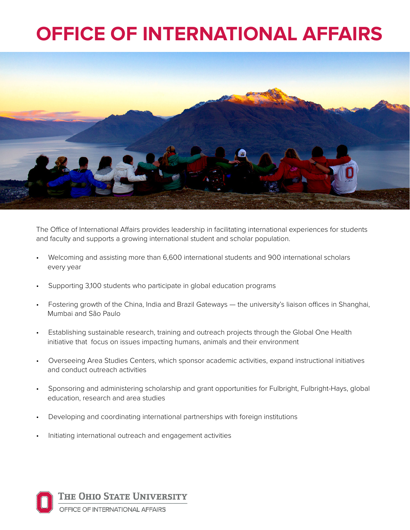## **OFFICE OF INTERNATIONAL AFFAIRS**



The Office of International Affairs provides leadership in facilitating international experiences for students and faculty and supports a growing international student and scholar population.

- Welcoming and assisting more than 6,600 international students and 900 international scholars every year
- Supporting 3,100 students who participate in global education programs
- Fostering growth of the China, India and Brazil Gateways the university's liaison offices in Shanghai, Mumbai and São Paulo
- Establishing sustainable research, training and outreach projects through the Global One Health initiative that focus on issues impacting humans, animals and their environment
- Overseeing Area Studies Centers, which sponsor academic activities, expand instructional initiatives and conduct outreach activities
- Sponsoring and administering scholarship and grant opportunities for Fulbright, Fulbright-Hays, global education, research and area studies
- Developing and coordinating international partnerships with foreign institutions
- Initiating international outreach and engagement activities